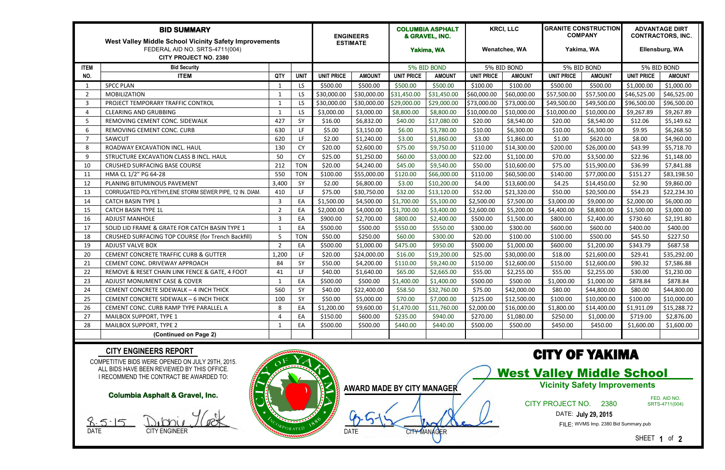| <b>BID SUMMARY</b><br>West Valley Middle School Vicinity Safety Improvements |                                                        |                |             |                   | <b>ENGINEERS</b><br><b>ESTIMATE</b> |                   | <b>COLUMBIA ASPHALT</b><br>& GRAVEL, INC. |                   | <b>KRCI, LLC</b> |                   | <b>GRANITE CONSTRUCTION</b><br><b>COMPANY</b> |                   | <b>ADVANTAGE DIRT</b><br><b>CONTRACTORS, INC.</b> |  |
|------------------------------------------------------------------------------|--------------------------------------------------------|----------------|-------------|-------------------|-------------------------------------|-------------------|-------------------------------------------|-------------------|------------------|-------------------|-----------------------------------------------|-------------------|---------------------------------------------------|--|
|                                                                              |                                                        |                |             |                   |                                     |                   |                                           |                   |                  |                   |                                               |                   |                                                   |  |
| <b>ITEM</b>                                                                  | <b>Bid Security</b>                                    |                |             |                   |                                     | 5% BID BOND       |                                           | 5% BID BOND       |                  | 5% BID BOND       |                                               | 5% BID BOND       |                                                   |  |
| NO.                                                                          | <b>ITEM</b>                                            | QTY            | <b>UNIT</b> | <b>UNIT PRICE</b> | <b>AMOUNT</b>                       | <b>UNIT PRICE</b> | <b>AMOUNT</b>                             | <b>UNIT PRICE</b> | <b>AMOUNT</b>    | <b>UNIT PRICE</b> | <b>AMOUNT</b>                                 | <b>UNIT PRICE</b> | <b>AMOUNT</b>                                     |  |
|                                                                              | <b>SPCC PLAN</b>                                       |                | LS.         | \$500.00          | \$500.00                            | \$500.00          | \$500.00                                  | \$100.00          | \$100.00         | \$500.00          | \$500.00                                      | \$1,000.00        | \$1,000.00                                        |  |
| 2                                                                            | <b>MOBILIZATION</b>                                    | -1             | LS.         | \$30,000.00       | \$30,000.00                         | \$31,450.00       | \$31,450.00                               | \$60,000.00       | \$60,000.00      | \$57,500.00       | \$57,500.00                                   | \$46,525.00       | \$46,525.00                                       |  |
| 3                                                                            | PROJECT TEMPORARY TRAFFIC CONTROL                      | -1             | LS.         | \$30,000.00       | \$30,000.00                         | \$29,000.00       | \$29,000.00                               | \$73,000.00       | \$73,000.00      | \$49,500.00       | \$49,500.00                                   | \$96,500.00       | \$96,500.00                                       |  |
| 4                                                                            | <b>CLEARING AND GRUBBING</b>                           | -1             | LS.         | \$3,000.00        | \$3,000.00                          | \$8,800.00        | \$8,800.00                                | \$10,000.00       | \$10,000.00      | \$10,000.00       | \$10,000.00                                   | \$9,267.89        | \$9,267.89                                        |  |
| 5                                                                            | REMOVING CEMENT CONC. SIDEWALK                         | 427            | SY          | \$16.00           | \$6,832.00                          | \$40.00           | \$17,080.00                               | \$20.00           | \$8,540.00       | \$20.00           | \$8,540.00                                    | \$12.06           | \$5,149.62                                        |  |
| 6                                                                            | REMOVING CEMENT CONC. CURB                             | 630            | LF.         | \$5.00            | \$3,150.00                          | \$6.00            | \$3,780.00                                | \$10.00           | \$6,300.00       | \$10.00           | \$6,300.00                                    | \$9.95            | \$6,268.50                                        |  |
| 7                                                                            | SAWCUT                                                 | 620            | LF.         | \$2.00            | \$1,240.00                          | \$3.00            | \$1,860.00                                | \$3.00            | \$1,860.00       | \$1.00            | \$620.00                                      | \$8.00            | \$4,960.00                                        |  |
| 8                                                                            | ROADWAY EXCAVATION INCL. HAUL                          | 130            | <b>CY</b>   | \$20.00           | \$2,600.00                          | \$75.00           | \$9,750.00                                | \$110.00          | \$14,300.00      | \$200.00          | \$26,000.00                                   | \$43.99           | \$5,718.70                                        |  |
| 9                                                                            | STRUCTURE EXCAVATION CLASS B INCL. HAUL                | 50             | <b>CY</b>   | \$25.00           | \$1,250.00                          | \$60.00           | \$3,000.00                                | \$22.00           | \$1,100.00       | \$70.00           | \$3,500.00                                    | \$22.96           | \$1,148.00                                        |  |
| 10                                                                           | <b>CRUSHED SURFACING BASE COURSE</b>                   | 212            | <b>TON</b>  | \$20.00           | \$4,240.00                          | \$45.00           | \$9,540.00                                | \$50.00           | \$10,600.00      | \$75.00           | \$15,900.00                                   | \$36.99           | \$7,841.88                                        |  |
| 11                                                                           | HMA CL 1/2" PG 64-28                                   | 550            | <b>TON</b>  | \$100.00          | \$55,000.00                         | \$120.00          | \$66,000.00                               | \$110.00          | \$60,500.00      | \$140.00          | \$77,000.00                                   | \$151.27          | \$83,198.50                                       |  |
| 12                                                                           | PLANING BITUMINOUS PAVEMENT                            | 3,400          | SY          | \$2.00            | \$6,800.00                          | \$3.00            | \$10,200.00                               | \$4.00            | \$13,600.00      | \$4.25            | \$14,450.00                                   | \$2.90            | \$9,860.00                                        |  |
| 13                                                                           | CORRUGATED POLYETHYLENE STORM SEWER PIPE, 12 IN. DIAM. | 410            | LF.         | \$75.00           | \$30,750.00                         | \$32.00           | \$13,120.00                               | \$52.00           | \$21,320.00      | \$50.00           | \$20,500.00                                   | \$54.23           | \$22,234.30                                       |  |
| 14                                                                           | <b>CATCH BASIN TYPE 1</b>                              | 3              | EA          | \$1,500.00        | \$4,500.00                          | \$1,700.00        | \$5,100.00                                | \$2,500.00        | \$7,500.00       | \$3,000.00        | \$9,000.00                                    | \$2,000.00        | \$6,000.00                                        |  |
| 15                                                                           | <b>CATCH BASIN TYPE 1L</b>                             | $\overline{2}$ | EA          | \$2,000.00        | \$4,000.00                          | \$1,700.00        | \$3,400.00                                | \$2,600.00        | \$5,200.00       | \$4,400.00        | \$8,800.00                                    | \$1,500.00        | \$3,000.00                                        |  |
| 16                                                                           | <b>ADJUST MANHOLE</b>                                  | 3              | EA          | \$900.00          | \$2,700.00                          | \$800.00          | \$2,400.00                                | \$500.00          | \$1,500.00       | \$800.00          | \$2,400.00                                    | \$730.60          | \$2,191.80                                        |  |
| 17                                                                           | SOLID LID FRAME & GRATE FOR CATCH BASIN TYPE 1         | -1             | EA          | \$500.00          | \$500.00                            | \$550.00          | \$550.00                                  | \$300.00          | \$300.00         | \$600.00          | \$600.00                                      | \$400.00          | \$400.00                                          |  |
| 18                                                                           | CRUSHED SURFACING TOP COURSE (for Trench Backfill)     | -5             | <b>TON</b>  | \$50.00           | \$250.00                            | \$60.00           | \$300.00                                  | \$20.00           | \$100.00         | \$100.00          | \$500.00                                      | \$45.50           | \$227.50                                          |  |
| 19                                                                           | <b>ADJUST VALVE BOX</b>                                | $\overline{2}$ | EA          | \$500.00          | \$1,000.00                          | \$475.00          | \$950.00                                  | \$500.00          | \$1,000.00       | \$600.00          | \$1,200.00                                    | \$343.79          | \$687.58                                          |  |
| 20                                                                           | <b>CEMENT CONCRETE TRAFFIC CURB &amp; GUTTER</b>       | 1,200          | LF.         | \$20.00           | \$24,000.00                         | \$16.00           | \$19,200.00                               | \$25.00           | \$30,000.00      | \$18.00           | \$21,600.00                                   | \$29.41           | \$35,292.00                                       |  |
| 21                                                                           | CEMENT CONC. DRIVEWAY APPROACH                         | 84             | SY          | \$50.00           | \$4,200.00                          | \$110.00          | \$9,240.00                                | \$150.00          | \$12,600.00      | \$150.00          | \$12,600.00                                   | \$90.32           | \$7,586.88                                        |  |
| 22                                                                           | REMOVE & RESET CHAIN LINK FENCE & GATE, 4 FOOT         | 41             | LF.         | \$40.00           | \$1,640.00                          | \$65.00           | \$2,665.00                                | \$55.00           | \$2,255.00       | \$55.00           | \$2,255.00                                    | \$30.00           | \$1,230.00                                        |  |
| 23                                                                           | ADJUST MONUMENT CASE & COVER                           |                | EA          | \$500.00          | \$500.00                            | \$1,400.00        | \$1,400.00                                | \$500.00          | \$500.00         | \$1,000.00        | \$1,000.00                                    | \$878.84          | \$878.84                                          |  |
| 24                                                                           | CEMENT CONCRETE SIDEWALK - 4 INCH THICK                | 560            | SY          | \$40.00           | $\frac{1}{2}$ \$22,400.00           | \$58.50           | \$32,760.00                               | \$75.00           | \$42,000.00      | \$80.00           | \$44,800.00                                   | \$80.00           | \$44,800.00                                       |  |
| 25                                                                           | CEMENT CONCRETE SIDEWALK - 6 INCH THICK                | 100            | SY          | \$50.00           | \$5,000.00                          | \$70.00           | \$7,000.00                                | \$125.00          | \$12,500.00      | \$100.00          | \$10,000.00                                   | \$100.00          | \$10,000.00                                       |  |
| 26                                                                           | CEMENT CONC. CURB RAMP TYPE PARALLEL A                 | 8              | EA          | \$1,200.00        | \$9,600.00                          | \$1,470.00        | \$11,760.00                               | \$2,000.00        | \$16,000.00      | \$1,800.00        | \$14,400.00                                   | \$1,911.09        | \$15,288.72                                       |  |
| 27                                                                           | <b>MAILBOX SUPPORT, TYPE 1</b>                         | Δ              | EA          | \$150.00          | \$600.00                            | \$235.00          | \$940.00                                  | \$270.00          | \$1,080.00       | \$250.00          | \$1,000.00                                    | \$719.00          | \$2,876.00                                        |  |
| 28                                                                           | <b>MAILBOX SUPPORT, TYPE 2</b>                         |                | EA          | \$500.00          | \$500.00                            | \$440.00          | \$440.00                                  | \$500.00          | \$500.00         | \$450.00          | \$450.00                                      | \$1,600.00        | \$1,600.00                                        |  |
|                                                                              | (Continued on Page 2)                                  |                |             |                   |                                     |                   |                                           |                   |                  |                   |                                               |                   |                                                   |  |

COMPETITIVE BIDS WERE OPENED ON JULY 29TH, 2015. ALL BIDS HAVE BEEN REVIEWED BY THIS OFFICE. I RECOMMEND THE CONTRACT BE AWARDED TO:

### **CITY ENGINEERS REPORT**



# CITY OF YAKIMA

West Valley Middle School

### CITY PROJECT NO. 2380

DATE: **July 29, 2015**

FILE: WVMS Imp. 2380 Bid Summary.pub

SHEET **1** of **2**

### **Columbia Asphalt & Gravel, Inc.**

 $8.5.15$ 

DATE CITY ENGINEER

**Vicinity Safety Improvements**

FED. AID NO. SRTS-4711(004)